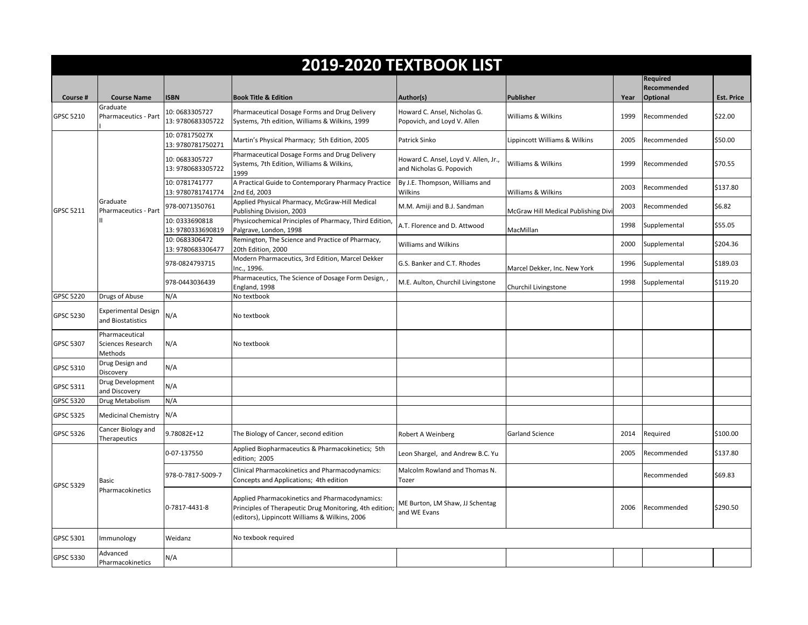| 2019-2020 TEXTBOOK LIST |                                                 |                                     |                                                                                                                                                             |                                                                  |                                     |      |                                                   |                   |  |  |  |
|-------------------------|-------------------------------------------------|-------------------------------------|-------------------------------------------------------------------------------------------------------------------------------------------------------------|------------------------------------------------------------------|-------------------------------------|------|---------------------------------------------------|-------------------|--|--|--|
| Course #                | <b>Course Name</b>                              | <b>ISBN</b>                         | <b>Book Title &amp; Edition</b>                                                                                                                             | Author(s)                                                        | <b>Publisher</b>                    | Year | <b>Required</b><br>Recommended<br><b>Optional</b> | <b>Est. Price</b> |  |  |  |
|                         | Graduate                                        |                                     |                                                                                                                                                             |                                                                  |                                     |      |                                                   |                   |  |  |  |
| GPSC 5210               | Pharmaceutics - Part                            | 10:0683305727<br>13: 9780683305722  | Pharmaceutical Dosage Forms and Drug Delivery<br>Systems, 7th edition, Williams & Wilkins, 1999                                                             | Howard C. Ansel, Nicholas G.<br>Popovich, and Loyd V. Allen      | Williams & Wilkins                  | 1999 | Recommended                                       | \$22.00           |  |  |  |
| GPSC 5211               | Graduate<br>Pharmaceutics - Part                | 10: 078175027X<br>13: 9780781750271 | Martin's Physical Pharmacy; 5th Edition, 2005                                                                                                               | Patrick Sinko                                                    | Lippincott Williams & Wilkins       | 2005 | Recommended                                       | \$50.00           |  |  |  |
|                         |                                                 | 10:0683305727<br>13: 9780683305722  | Pharmaceutical Dosage Forms and Drug Delivery<br>Systems, 7th Edition, Williams & Wilkins,<br>1999                                                          | Howard C. Ansel, Loyd V. Allen, Jr.,<br>and Nicholas G. Popovich | Williams & Wilkins                  | 1999 | Recommended                                       | \$70.55           |  |  |  |
|                         |                                                 | 10: 0781741777<br>13: 9780781741774 | A Practical Guide to Contemporary Pharmacy Practice<br>2nd Ed, 2003                                                                                         | By J.E. Thompson, Williams and<br>Wilkins                        | Williams & Wilkins                  | 2003 | Recommended                                       | \$137.80          |  |  |  |
|                         |                                                 | 978-0071350761                      | Applied Physical Pharmacy, McGraw-Hill Medical<br>Publishing Division, 2003                                                                                 | M.M. Amiji and B.J. Sandman                                      | McGraw Hill Medical Publishing Divi | 2003 | Recommended                                       | \$6.82            |  |  |  |
|                         |                                                 | 10:0333690818<br>13: 9780333690819  | Physicochemical Principles of Pharmacy, Third Edition,<br>Palgrave, London, 1998                                                                            | A.T. Florence and D. Attwood                                     | MacMillan                           | 1998 | Supplemental                                      | \$55.05           |  |  |  |
|                         |                                                 | 10:0683306472<br>13: 9780683306477  | Remington, The Science and Practice of Pharmacy,<br>20th Edition, 2000                                                                                      | <b>Williams and Wilkins</b>                                      |                                     | 2000 | Supplemental                                      | \$204.36          |  |  |  |
|                         |                                                 | 978-0824793715                      | Modern Pharmaceutics, 3rd Edition, Marcel Dekker<br>Inc., 1996.                                                                                             | G.S. Banker and C.T. Rhodes                                      | Marcel Dekker, Inc. New York        | 1996 | Supplemental                                      | \$189.03          |  |  |  |
|                         |                                                 | 978-0443036439                      | Pharmaceutics, The Science of Dosage Form Design,<br>England, 1998                                                                                          | M.E. Aulton, Churchil Livingstone                                | Churchil Livingstone                | 1998 | Supplemental                                      | \$119.20          |  |  |  |
| GPSC 5220               | Drugs of Abuse                                  | N/A                                 | No textbook                                                                                                                                                 |                                                                  |                                     |      |                                                   |                   |  |  |  |
| GPSC 5230               | <b>Experimental Design</b><br>and Biostatistics | N/A                                 | No textbook                                                                                                                                                 |                                                                  |                                     |      |                                                   |                   |  |  |  |
| GPSC 5307               | Pharmaceutical<br>Sciences Research<br>Methods  | N/A                                 | No textbook                                                                                                                                                 |                                                                  |                                     |      |                                                   |                   |  |  |  |
| GPSC 5310               | Drug Design and<br>Discovery                    | N/A                                 |                                                                                                                                                             |                                                                  |                                     |      |                                                   |                   |  |  |  |
| GPSC 5311               | Drug Development<br>and Discovery               | N/A                                 |                                                                                                                                                             |                                                                  |                                     |      |                                                   |                   |  |  |  |
| GPSC 5320               | Drug Metabolism                                 | N/A                                 |                                                                                                                                                             |                                                                  |                                     |      |                                                   |                   |  |  |  |
| GPSC 5325               | <b>Medicinal Chemistry</b>                      | N/A                                 |                                                                                                                                                             |                                                                  |                                     |      |                                                   |                   |  |  |  |
| GPSC 5326               | Cancer Biology and<br>Therapeutics              | 9.78082E+12                         | The Biology of Cancer, second edition                                                                                                                       | Robert A Weinberg                                                | <b>Garland Science</b>              | 2014 | Required                                          | \$100.00          |  |  |  |
| GPSC 5329               | <b>Basic</b><br>Pharmacokinetics                | 0-07-137550                         | Applied Biopharmaceutics & Pharmacokinetics; 5th<br>edition: 2005                                                                                           | Leon Shargel, and Andrew B.C. Yu                                 |                                     | 2005 | Recommended                                       | \$137.80          |  |  |  |
|                         |                                                 | 978-0-7817-5009-7                   | Clinical Pharmacokinetics and Pharmacodynamics:<br>Concepts and Applications; 4th edition                                                                   | Malcolm Rowland and Thomas N.<br>Tozer                           |                                     |      | Recommended                                       | \$69.83           |  |  |  |
|                         |                                                 | 0-7817-4431-8                       | Applied Pharmacokinetics and Pharmacodynamics:<br>Principles of Therapeutic Drug Monitoring, 4th edition;<br>(editors), Lippincott Williams & Wilkins, 2006 | ME Burton, LM Shaw, JJ Schentag<br>and WE Evans                  |                                     | 2006 | Recommended                                       | \$290.50          |  |  |  |
| GPSC 5301               | Immunology                                      | Weidanz                             | No texbook required                                                                                                                                         |                                                                  |                                     |      |                                                   |                   |  |  |  |
| GPSC 5330               | Advanced<br>Pharmacokinetics                    | N/A                                 |                                                                                                                                                             |                                                                  |                                     |      |                                                   |                   |  |  |  |